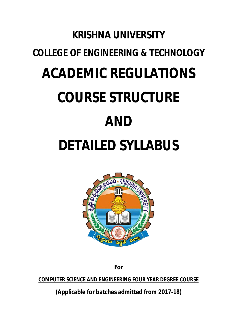# **KRISHNA UNIVERSITY COLLEGE OF ENGINEERING & TECHNOLOGY ACADEMIC REGULATIONS COURSE STRUCTURE AND DETAILED SYLLABUS**



**For**

**COMPUTER SCIENCE AND ENGINEERING FOUR YEAR DEGREE COURSE**

**(Applicable for batches admitted from 2017-18)**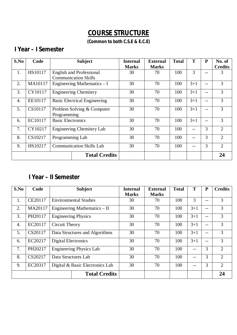# **COURSE STRUCTURE**

**(Common to both C.S.E & E.C.E)**

# **I Year – I Semester**

| S.No | Code    |                                     | <b>Subject</b>                   |    | <b>External</b> | <b>Total</b> | T       | ${\bf P}$         | No. of         |
|------|---------|-------------------------------------|----------------------------------|----|-----------------|--------------|---------|-------------------|----------------|
|      |         |                                     |                                  |    | <b>Marks</b>    |              |         |                   | <b>Credits</b> |
| 1.   | HS10117 |                                     | <b>English and Professional</b>  | 30 | 70              | 100          | 3       | --                | 3              |
|      |         |                                     | <b>Communication Skills</b>      |    |                 |              |         |                   |                |
| 2.   | MA10117 |                                     | Engineering Mathematics - I      |    | 70              | 100          | $3 + 1$ | $\qquad \qquad -$ | 3              |
| 3.   | CY10117 |                                     | Engineering Chemistry            |    | 70              | 100          | $3 + 1$ | $\qquad \qquad -$ | 3              |
| 4.   | EE10117 | <b>Basic Electrical Engineering</b> |                                  | 30 | 70              | 100          | $3 + 1$ | $- -$             | 3              |
| 5.   | CS10117 | Problem Solving & Computer          |                                  | 30 | 70              | 100          | $3 + 1$ | --                | 3              |
|      |         | Programming                         |                                  |    |                 |              |         |                   |                |
| 6.   | EC10117 | <b>Basic Electronics</b>            |                                  | 30 | 70              | 100          | $3 + 1$ | --                | 3              |
| 7.   | CY10217 |                                     | <b>Engineering Chemistry Lab</b> |    | 70              | 100          |         | 3                 | $\overline{2}$ |
| 8.   | CS10217 | Programming Lab                     |                                  | 30 | 70              | 100          | $- -$   | $\overline{3}$    | $\overline{2}$ |
| 9.   | HS10217 |                                     | <b>Communication Skills Lab</b>  | 30 | 70              | 100          | $- -$   | 3                 | $\overline{2}$ |
|      |         |                                     | <b>Total Credits</b>             |    |                 |              |         |                   | 24             |

#### **I Year – II Semester**

| S.No | Code    |                                 | <b>Subject</b>                 |    | <b>External</b> | <b>Total</b> | T       | ${\bf P}$ | <b>Credits</b> |
|------|---------|---------------------------------|--------------------------------|----|-----------------|--------------|---------|-----------|----------------|
|      |         |                                 |                                |    | <b>Marks</b>    |              |         |           |                |
| 1.   | CE20117 |                                 | <b>Environmental Studies</b>   | 30 | 70              | 100          | 3       | $- -$     | 3              |
| 2.   | MA20117 |                                 | Engineering Mathematics – II   |    | 70              | 100          | $3 + 1$ | $-$       | 3              |
| 3.   | PH20117 | <b>Engineering Physics</b>      |                                | 30 | 70              | 100          | $3 + 1$ | $- -$     | 3              |
| 4.   | EC20117 | Circuit Theory                  |                                | 30 | 70              | 100          | $3 + 1$ | $- -$     | 3              |
| 5.   | CS20117 |                                 | Data Structures and Algorithms | 30 | 70              | 100          | $3 + 1$ | $- -$     | 3              |
| 6.   | EC20217 | <b>Digital Electronics</b>      |                                | 30 | 70              | 100          | $3 + 1$ | $- -$     | 3              |
| 7.   | PH20217 |                                 | <b>Engineering Physics Lab</b> |    | 70              | 100          | $ -$    | 3         | $\overline{2}$ |
| 8.   | CS20217 | Data Structures Lab             |                                | 30 | 70              | 100          | --      | 3         | $\overline{2}$ |
| 9.   | EC20317 | Digital & Basic Electronics Lab |                                | 30 | 70              | 100          | $ -$    | 3         | $\overline{2}$ |
|      |         |                                 | <b>Total Credits</b>           |    |                 |              |         |           | 24             |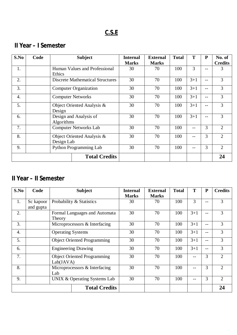# **C.S.E**

# **II Year – I Semester**

| S.No                                | Code |                              | <b>Subject</b>                          | <b>Internal</b> | <b>External</b> | <b>Total</b> | T       | P              | No. of         |
|-------------------------------------|------|------------------------------|-----------------------------------------|-----------------|-----------------|--------------|---------|----------------|----------------|
|                                     |      |                              |                                         | <b>Marks</b>    | <b>Marks</b>    |              |         |                | <b>Credits</b> |
| 1.                                  |      | Ethics                       | Human Values and Professional           | 30              | 70              | 100          | 3       | $- -$          | 3              |
| 2.                                  |      |                              | <b>Discrete Mathematical Structures</b> | 30              | 70              | 100          | $3 + 1$ | --             | 3              |
| 3.                                  |      |                              | <b>Computer Organization</b>            |                 | 70              | 100          | $3+1$   | --             | 3              |
| 4.                                  |      |                              | <b>Computer Networks</b>                | 30              | 70              | 100          | $3+1$   | --             | 3              |
| 5.                                  |      | Design                       | Object Oriented Analysis &              | 30              | 70              | 100          | $3 + 1$ | --             | 3              |
| 6.                                  |      | Algorithms                   | Design and Analysis of                  | 30              | 70              | 100          | $3 + 1$ | --             | 3              |
| 7.                                  |      | <b>Computer Networks Lab</b> |                                         | 30              | 70              | 100          | $- -$   | 3              | $\overline{2}$ |
| 8.                                  |      | Design Lab                   | Object Oriented Analysis &              | 30              | 70              | 100          | $- -$   | 3              | $\overline{2}$ |
| 9.<br><b>Python Programming Lab</b> |      |                              | 30                                      | 70              | 100             | $- -$        | 3       | $\overline{2}$ |                |
|                                     |      |                              | <b>Total Credits</b>                    |                 |                 |              |         |                | 24             |

### **II Year – II Semester**

| S.No | Code      |                               | <b>Subject</b>                     |              | <b>External</b> | <b>Total</b> | T       | ${\bf P}$ | <b>Credits</b> |
|------|-----------|-------------------------------|------------------------------------|--------------|-----------------|--------------|---------|-----------|----------------|
|      |           |                               |                                    | <b>Marks</b> | <b>Marks</b>    |              |         |           |                |
| 1.   | Sc kapoor |                               | Probability & Statistics           | 30           | 70              | 100          | 3       | --        | 3              |
|      | and gupta |                               |                                    |              |                 |              |         |           |                |
| 2.   |           |                               | Formal Languages and Automata      | 30           | 70              | 100          | $3 + 1$ | $- -$     | 3              |
|      |           | Theory                        |                                    |              |                 |              |         |           |                |
| 3.   |           |                               | Microprocessors & Interfacing      |              | 70              | 100          | $3 + 1$ | $- -$     | 3              |
| 4.   |           |                               | <b>Operating Systems</b>           |              | 70              | 100          | $3+1$   | --        | 3              |
| 5.   |           |                               | <b>Object Oriented Programming</b> | 30           | 70              | 100          | $3+1$   | $- -$     | 3              |
| 6.   |           |                               | <b>Engineering Drawing</b>         | 30           | 70              | 100          | $3 + 1$ | --        | 3              |
| 7.   |           |                               | <b>Object Oriented Programming</b> |              | 70              | 100          |         | 3         | $\overline{2}$ |
|      |           | Lab(JAVA)                     |                                    |              |                 |              |         |           |                |
| 8.   |           | Microprocessors & Interfacing |                                    | 30           | 70              | 100          | $- -$   | 3         | $\overline{2}$ |
|      |           | Lab                           |                                    |              |                 |              |         |           |                |
| 9.   |           |                               | UNIX & Operating Systems Lab       | 30           | 70              | 100          | $- -$   | 3         | $\overline{2}$ |
|      |           |                               | <b>Total Credits</b>               |              |                 |              |         |           | 24             |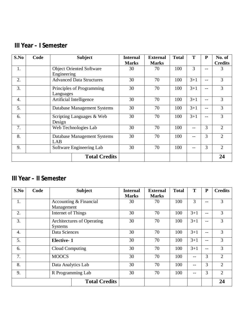# **III Year – I Semester**

| S.No             | Code | <b>Subject</b>          |                                 | <b>Internal</b> | <b>External</b> | <b>Total</b> | T       | ${\bf P}$ | No. of         |
|------------------|------|-------------------------|---------------------------------|-----------------|-----------------|--------------|---------|-----------|----------------|
|                  |      |                         |                                 |                 | <b>Marks</b>    |              |         |           | <b>Credits</b> |
| 1.               |      | Engineering             | <b>Object Oriented Software</b> | 30              | 70              | 100          | 3       | --        | 3              |
| 2.               |      |                         | <b>Advanced Data Structures</b> | 30              | 70              | 100          | $3 + 1$ | --        | 3              |
| 3.               |      | Languages               | Principles of Programming       | 30              | 70              | 100          | $3 + 1$ | --        | 3              |
| $\overline{4}$ . |      | Artificial Intelligence |                                 | 30              | 70              | 100          | $3 + 1$ | $-1$      | 3              |
| 5.               |      |                         | Database Management Systems     | 30              | 70              | 100          | $3 + 1$ | --        | 3              |
| 6.               |      | Design                  | Scripting Languages & Web       | 30              | 70              | 100          | $3 + 1$ | --        | 3              |
| 7.               |      | Web Technologies Lab    |                                 | 30              | 70              | 100          | $- -$   | 3         | $\overline{2}$ |
| 8.               |      | LAB                     | Database Management Systems     | 30              | 70              | 100          |         | 3         | $\overline{2}$ |
| 9.               |      |                         | Software Engineering Lab        | 30              | 70              | 100          | $ -$    | 3         | $\overline{2}$ |
|                  |      |                         | <b>Total Credits</b>            |                 |                 |              |         |           | 24             |

# **III Year – II Semester**

| S.No    | Code | <b>Subject</b>     |                            | <b>Internal</b> | <b>External</b> | <b>Total</b> | T       | ${\bf P}$         | <b>Credits</b> |
|---------|------|--------------------|----------------------------|-----------------|-----------------|--------------|---------|-------------------|----------------|
|         |      |                    |                            | <b>Marks</b>    | <b>Marks</b>    |              |         |                   |                |
| 1.      |      |                    | Accounting & Financial     | 30              | 70              | 100          | 3       | --                | 3              |
|         |      | Management         |                            |                 |                 |              |         |                   |                |
| 2.      |      | Internet of Things |                            | 30              | 70              | 100          | $3 + 1$ | $- -$             | 3              |
| 3.      |      |                    | Architectures of Operating | 30              | 70              | 100          | $3 + 1$ | $- -$             | 3              |
| Systems |      |                    |                            |                 |                 |              |         |                   |                |
| 4.      |      | Data Sciences      |                            | 30              | 70              | 100          | $3 + 1$ | $- -$             | 3              |
| 5.      |      | <b>Elective-1</b>  |                            | 30              | 70              | 100          | $3 + 1$ | $\qquad \qquad -$ | 3              |
| 6.      |      | Cloud Computing    |                            | 30              | 70              | 100          | $3 + 1$ | $\qquad \qquad -$ | 3              |
| 7.      |      | <b>MOOCS</b>       |                            | 30              | 70              | 100          | $- -$   | 3                 | $\overline{2}$ |
| 8.      |      | Data Analytics Lab |                            | 30              | 70              | 100          | $- -$   | 3                 | $\overline{2}$ |
| 9.      |      |                    | R Programming Lab          | 30              | 70              | 100          | $- -$   | 3                 | $\overline{2}$ |
|         |      |                    | <b>Total Credits</b>       |                 |                 |              |         |                   | 24             |